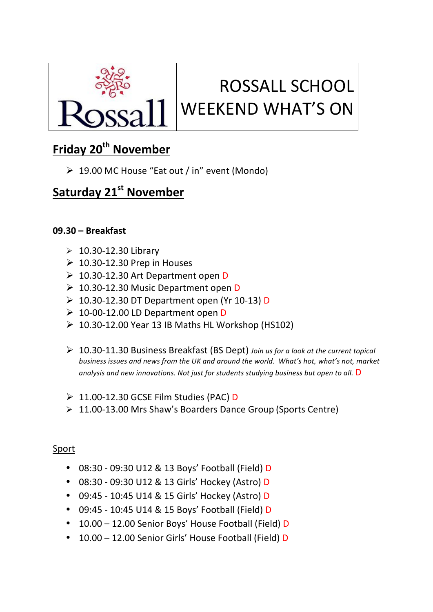

# ROSSALL SCHOOL WEEKEND WHAT'S ON

## **Friday 20<sup>th</sup> November**

 $\geq 19.00$  MC House "Eat out / in" event (Mondo)

### **Saturday 21st November**

#### **09.30 – Breakfast**

- $\geqslant$  10.30-12.30 Library
- $\geq 10.30 12.30$  Prep in Houses
- $\geq 10.30$ -12.30 Art Department open D
- $\geq 10.30$ -12.30 Music Department open D
- $\geq 10.30$ -12.30 DT Department open (Yr 10-13) D
- $\geq 10$ -00-12.00 LD Department open D
- $\geq 10.30 12.00$  Year 13 IB Maths HL Workshop (HS102)
- Ø 10.30-11.30 Business Breakfast (BS Dept) *Join us for a look at the current topical*  business issues and news from the UK and around the world. What's hot, what's not, market analysis and new innovations. Not just for students studying business but open to all. D
- $\geq 11.00$ -12.30 GCSE Film Studies (PAC) D
- $\geq 11.00-13.00$  Mrs Shaw's Boarders Dance Group (Sports Centre)

#### Sport

- 08:30 09:30 U12 & 13 Boys' Football (Field) D
- 08:30 - 09:30 U12 & 13 Girls' Hockey (Astro) D
- 09:45 10:45 U14 & 15 Girls' Hockey (Astro) D
- 09:45 10:45 U14 & 15 Boys' Football (Field) D
- 10.00 12.00 Senior Boys' House Football (Field) D
- 10.00 12.00 Senior Girls' House Football (Field) D